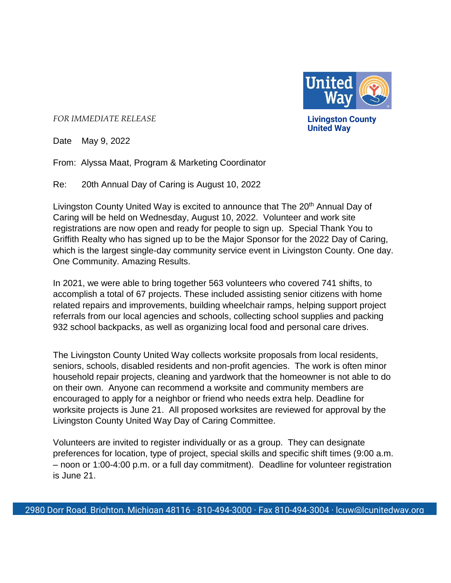

*FOR IMMEDIATE RELEASE*

**Livingston County United Way**

Date May 9, 2022

From: Alyssa Maat, Program & Marketing Coordinator

Re: 20th Annual Day of Caring is August 10, 2022

Livingston County United Way is excited to announce that The 20<sup>th</sup> Annual Day of Caring will be held on Wednesday, August 10, 2022. Volunteer and work site registrations are now open and ready for people to sign up. Special Thank You to Griffith Realty who has signed up to be the Major Sponsor for the 2022 Day of Caring, which is the largest single-day community service event in Livingston County. One day. One Community. Amazing Results.

In 2021, we were able to bring together 563 volunteers who covered 741 shifts, to accomplish a total of 67 projects. These included assisting senior citizens with home related repairs and improvements, building wheelchair ramps, helping support project referrals from our local agencies and schools, collecting school supplies and packing 932 school backpacks, as well as organizing local food and personal care drives.

The Livingston County United Way collects worksite proposals from local residents, seniors, schools, disabled residents and non-profit agencies. The work is often minor household repair projects, cleaning and yardwork that the homeowner is not able to do on their own. Anyone can recommend a worksite and community members are encouraged to apply for a neighbor or friend who needs extra help. Deadline for worksite projects is June 21. All proposed worksites are reviewed for approval by the Livingston County United Way Day of Caring Committee.

Volunteers are invited to register individually or as a group. They can designate preferences for location, type of project, special skills and specific shift times (9:00 a.m. – noon or 1:00-4:00 p.m. or a full day commitment). Deadline for volunteer registration is June 21.